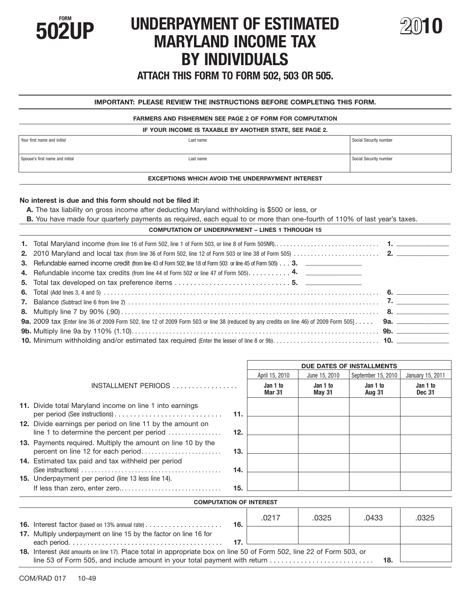

# **FORM SOLUTE:** UNDERPAYMENT OF ESTIMATED MARYLAND INCOME TAX **BY INDIVIDUALS**



**ATTACH THIS FORM TO FORM 502, 503 OR 505.** 

# **IMPORTANT: PLEASE REVIEW THE INSTRUCTIONS BEFORE COMPLETING THIS FORM.**

#### **FARMERS AND FISHERMEN SEE PAGE 2 OF FORM FOR COMPUTATION**

### **IF YOUR INCOME IS TAXABLE BY ANOTHER STATE, SEE PAGE 2.**

| Vour first name and initial     | Last name | Social Security number |
|---------------------------------|-----------|------------------------|
| Spouse's first name and initial | Last name | Social Security number |

# **EXCEPTIONS WHICH AVOID THE UNDERPAYMENT INTEREST**

# **No interest is due and this form should not be filed if:**

- **A.** The tax liability on gross income after deducting Maryland withholding is \$500 or less, or
- **B.** You have made four quarterly payments as required, each equal to or more than one-fourth of 110% of last year's taxes.

# **COMPUTATION OF UNDERPAYMENT – LINES 1 THROUGH 15**

| 3. Refundable earned income credit (from line 43 of Form 502, line 18 of Form 503 or line 45 of Form 505) 3. |  |
|--------------------------------------------------------------------------------------------------------------|--|
|                                                                                                              |  |
|                                                                                                              |  |
|                                                                                                              |  |
|                                                                                                              |  |
|                                                                                                              |  |
|                                                                                                              |  |
|                                                                                                              |  |
|                                                                                                              |  |

|                                                                                                                          |                    | DUE DATES OF INSTALLMENTS |                           |                           |  |
|--------------------------------------------------------------------------------------------------------------------------|--------------------|---------------------------|---------------------------|---------------------------|--|
|                                                                                                                          | April 15, 2010     | June 15, 2010             | September 15, 2010        | January 15, 2011          |  |
| INSTALLMENT PERIODS                                                                                                      | Jan 1 to<br>Mar 31 | Jan 1 to<br><b>May 31</b> | Jan 1 to<br><b>Aug 31</b> | Jan 1 to<br><b>Dec 31</b> |  |
| 11. Divide total Maryland income on line 1 into earnings<br>11.                                                          |                    |                           |                           |                           |  |
| 12. Divide earnings per period on line 11 by the amount on<br>line 1 to determine the percent per period $\ldots$<br>12. |                    |                           |                           |                           |  |
| 13. Payments required. Multiply the amount on line 10 by the<br>13.                                                      |                    |                           |                           |                           |  |
| 14. Estimated tax paid and tax withheld per period<br>14.                                                                |                    |                           |                           |                           |  |
| <b>15.</b> Underpayment per period (line 13 less line 14).<br>15.                                                        |                    |                           |                           |                           |  |
|                                                                                                                          |                    |                           |                           |                           |  |

# **COMPUTATION OF INTEREST**

|                                                                                                                                                                                                           | 16. | .0217 | .0325 | .0433 | .0325 |
|-----------------------------------------------------------------------------------------------------------------------------------------------------------------------------------------------------------|-----|-------|-------|-------|-------|
| 17. Multiply underpayment on line 15 by the factor on line 16 for                                                                                                                                         |     |       |       |       |       |
| 18. Interest (Add amounts on line 17). Place total in appropriate box on line 50 of Form 502, line 22 of Form 503, or<br>line 53 of Form 505, and include amount in your total payment with return<br>18. |     |       |       |       |       |